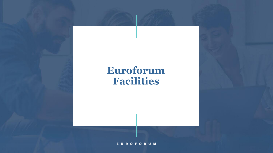### **Euroforum Facilities**

**EUROFORUM**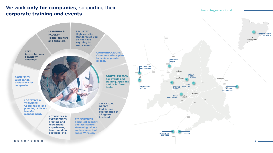### We work **only for companies**, supporting their **corporate training and events**.

#### **inspiring exceptional**

**LEARNING & SECURITY CHÂTEAUFORM' High security FACULTY LA MOLA standards so you Topics, trainers Down BARCELONA do not have and speakers. anything to worry about. CITY COMMUNICATIONS Advice for your Communications plan downtown to achieve greater meetings. SEGOVIA impact.SIERRA LA CASA DEL PRESIDENTE DOM MONTE DE LOS DIGITALISATION FACILITIES ÁNGELES For events and Wide range,**   $\bar{\rm N}$  VV) **training. Apps and exclusively for TORRELODONES** Albertia **multi-platform LAS companies. FONTECRUZ tools. JARILLAS CAMPUS ÁVILA CONVENTO ESCORIAL DEL CARMEN MADRID GOLF SANTANDER LOGISTICS & TRANSFER TECHNICAL Coordination and OFFICE planning. Efficient End-to-end transfer coordination of management. all agents ACTIVITIES & involved. TIC SERVICES EXPERIENCES Training and Technical support recreational and assistance: experiences, streaming, videoteam-building conferences, highactivities, etc. speed WiFi, etc. EUGENIA DE LAYOS MONTIJO** ans de **EUROFORUM 2**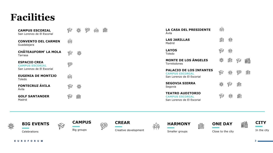## **Facilities**

| <b>CAMPUS ESCORIAL</b><br>San Lorenzo de El Escorial    | Ç                       | 器           | ۳ | 姊 | 興 | <b>LA CASA DEL PRESIDENTE</b><br>Avila                                                 | 蝌           |              |           |   |
|---------------------------------------------------------|-------------------------|-------------|---|---|---|----------------------------------------------------------------------------------------|-------------|--------------|-----------|---|
| <b>CONVENTO DEL CARMEN</b><br>Guadalajara               | 蝌                       |             |   |   |   | <b>LAS JARILLAS</b><br>Madrid                                                          | <b>FREE</b> | 器            |           |   |
| <b>CHÂTEAUFORM' LA MOLA</b><br>Tarrasa                  | ❤                       | ℁           |   |   |   | <b>LAYOS</b><br>Toledo                                                                 |             | 器            |           |   |
| <b>ESPACIO CREA</b><br><b>CAMPUS ESCORIAL</b>           | ٣                       |             |   |   |   | <b>MONTE DE LOS ÁNGELES</b><br>Torrelodones                                            | ₩           | 鼺            | $\otimes$ | 鸙 |
| San Lorenzo de El Escorial<br><b>EUGENIA DE MONTIJO</b> | $\mathbb{A} \mathbb{P}$ |             |   |   |   | <b>PALACIO DE LOS INFANTES</b><br><b>CAMPUS ESCORIAL</b><br>San Lorenzo de El Escorial | $\circledS$ | 器            | ٣         | 鷗 |
| Toledo<br><b>FONTECRUZ ÁVILA</b>                        |                         | 器           |   |   |   | <b>SEGOVIA SIERRA</b><br>Segovia                                                       | 器           | $\mathbb{C}$ | 興         |   |
| Avila<br><b>GOLF SANTANDER</b>                          | ❤                       | <b>DEED</b> |   |   |   | <b>TEATRO AUDITORIO</b><br><b>CAMPUS ESCORIAL</b>                                      |             | 器            | 興         |   |
| Madrid                                                  |                         |             |   |   |   | San Lorenzo de El Escorial                                                             |             |              |           |   |



**BIG EVENTS** Celebrations







١

Creative development



 $\mathbb{A}\mathbb{P}$ 







**EUROFORUM** 

**3**

鼺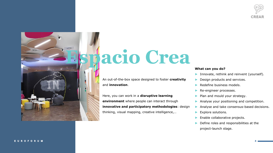

**4**



# **Espacio Crea**

An out-of-the-box space designed to foster **creativity** and **innovation**.

Here, you can work in a **disruptive learning environment** where people can interact through **innovative and participatory methodologies**: design thinking, visual mapping, creative intelligence,…

### **What can you do?**

- ► Innovate, rethink and reinvent (yourself).
- Design products and services.
- ► Redefine business models.
- ► Re-engineer processes.
- Plan and mould your strategy.
- Analyse your positioning and competition.
- ► Analyse and take consensus-based decisions.
- ► Explore solutions.
- ► Enable collaborative projects.
- ► Define roles and responsibilities at the project-launch stage.

#### **EUROFORUM**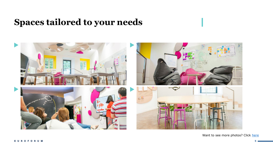### **Spaces tailored to your needs**



Want to see more photos? Click [here](https://www.euroforum.es/en/facilities/espacio-crea-palacio-de-los-infantes/)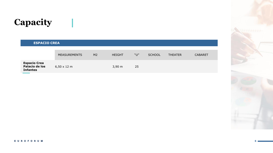## **Capacity**

### **ESPACIO CREA**

 $\mathbf{1}$ 

|                                                          | <b>MEASUREMENTS</b>        | M <sub>2</sub> | <b>HEIGHT</b> | "U" | <b>SCHOOL</b> | <b>THEATER</b> | <b>CABARET</b> |
|----------------------------------------------------------|----------------------------|----------------|---------------|-----|---------------|----------------|----------------|
| <b>Espacio Crea</b><br>Palacio de los<br><b>Infantes</b> | $6,50 \times 12 \text{ m}$ |                | 3.90 m        | 25  |               |                |                |



#### **EUROFORUM**